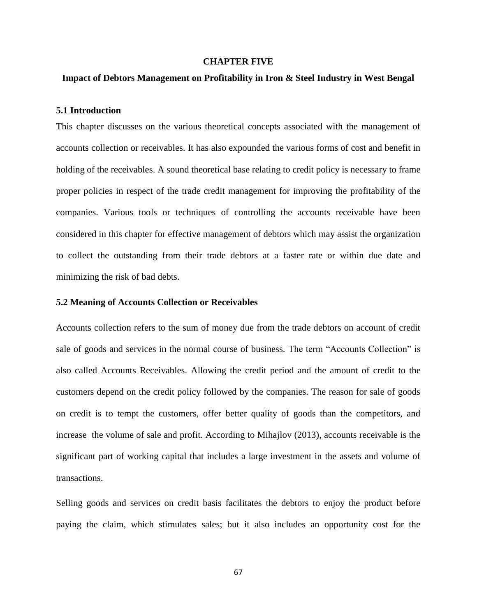#### **CHAPTER FIVE**

#### **Impact of Debtors Management on Profitability in Iron & Steel Industry in West Bengal**

#### **5.1 Introduction**

This chapter discusses on the various theoretical concepts associated with the management of accounts collection or receivables. It has also expounded the various forms of cost and benefit in holding of the receivables. A sound theoretical base relating to credit policy is necessary to frame proper policies in respect of the trade credit management for improving the profitability of the companies. Various tools or techniques of controlling the accounts receivable have been considered in this chapter for effective management of debtors which may assist the organization to collect the outstanding from their trade debtors at a faster rate or within due date and minimizing the risk of bad debts.

#### **5.2 Meaning of Accounts Collection or Receivables**

Accounts collection refers to the sum of money due from the trade debtors on account of credit sale of goods and services in the normal course of business. The term "Accounts Collection" is also called Accounts Receivables. Allowing the credit period and the amount of credit to the customers depend on the credit policy followed by the companies. The reason for sale of goods on credit is to tempt the customers, offer better quality of goods than the competitors, and increase the volume of sale and profit. According to Mihajlov (2013), accounts receivable is the significant part of working capital that includes a large investment in the assets and volume of transactions.

Selling goods and services on credit basis facilitates the debtors to enjoy the product before paying the claim, which stimulates sales; but it also includes an opportunity cost for the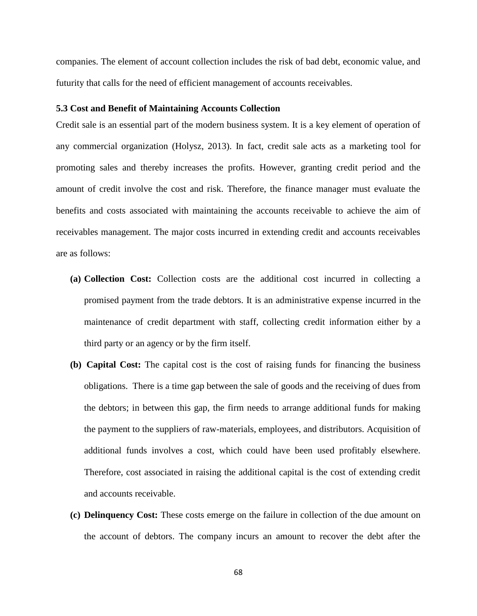companies. The element of account collection includes the risk of bad debt, economic value, and futurity that calls for the need of efficient management of accounts receivables.

#### **5.3 Cost and Benefit of Maintaining Accounts Collection**

Credit sale is an essential part of the modern business system. It is a key element of operation of any commercial organization (Holysz, 2013). In fact, credit sale acts as a marketing tool for promoting sales and thereby increases the profits. However, granting credit period and the amount of credit involve the cost and risk. Therefore, the finance manager must evaluate the benefits and costs associated with maintaining the accounts receivable to achieve the aim of receivables management. The major costs incurred in extending credit and accounts receivables are as follows:

- **(a) Collection Cost:** Collection costs are the additional cost incurred in collecting a promised payment from the trade debtors. It is an administrative expense incurred in the maintenance of credit department with staff, collecting credit information either by a third party or an agency or by the firm itself.
- **(b) Capital Cost:** The capital cost is the cost of raising funds for financing the business obligations. There is a time gap between the sale of goods and the receiving of dues from the debtors; in between this gap, the firm needs to arrange additional funds for making the payment to the suppliers of raw-materials, employees, and distributors. Acquisition of additional funds involves a cost, which could have been used profitably elsewhere. Therefore, cost associated in raising the additional capital is the cost of extending credit and accounts receivable.
- **(c) Delinquency Cost:** These costs emerge on the failure in collection of the due amount on the account of debtors. The company incurs an amount to recover the debt after the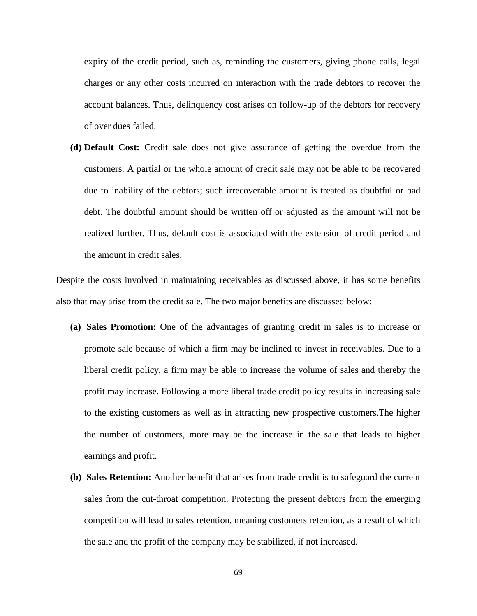expiry of the credit period, such as, reminding the customers, giving phone calls, legal charges or any other costs incurred on interaction with the trade debtors to recover the account balances. Thus, delinquency cost arises on follow-up of the debtors for recovery of over dues failed.

**(d) Default Cost:** Credit sale does not give assurance of getting the overdue from the customers. A partial or the whole amount of credit sale may not be able to be recovered due to inability of the debtors; such irrecoverable amount is treated as doubtful or bad debt. The doubtful amount should be written off or adjusted as the amount will not be realized further. Thus, default cost is associated with the extension of credit period and the amount in credit sales.

Despite the costs involved in maintaining receivables as discussed above, it has some benefits also that may arise from the credit sale. The two major benefits are discussed below:

- **(a) Sales Promotion:** One of the advantages of granting credit in sales is to increase or promote sale because of which a firm may be inclined to invest in receivables. Due to a liberal credit policy, a firm may be able to increase the volume of sales and thereby the profit may increase. Following a more liberal trade credit policy results in increasing sale to the existing customers as well as in attracting new prospective customers.The higher the number of customers, more may be the increase in the sale that leads to higher earnings and profit.
- **(b) Sales Retention:** Another benefit that arises from trade credit is to safeguard the current sales from the cut-throat competition. Protecting the present debtors from the emerging competition will lead to sales retention, meaning customers retention, as a result of which the sale and the profit of the company may be stabilized, if not increased.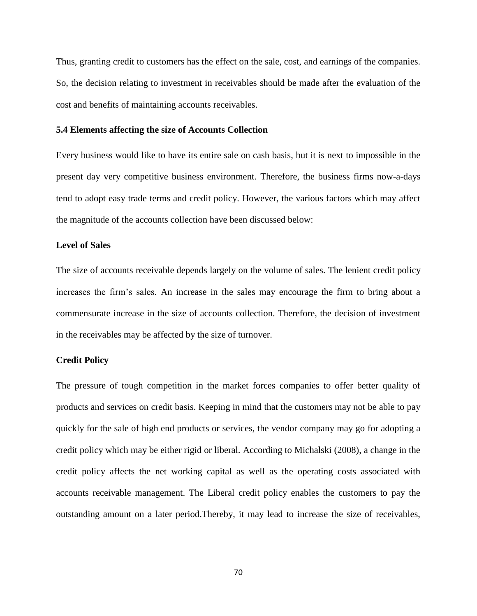Thus, granting credit to customers has the effect on the sale, cost, and earnings of the companies. So, the decision relating to investment in receivables should be made after the evaluation of the cost and benefits of maintaining accounts receivables.

#### **5.4 Elements affecting the size of Accounts Collection**

Every business would like to have its entire sale on cash basis, but it is next to impossible in the present day very competitive business environment. Therefore, the business firms now-a-days tend to adopt easy trade terms and credit policy. However, the various factors which may affect the magnitude of the accounts collection have been discussed below:

#### **Level of Sales**

The size of accounts receivable depends largely on the volume of sales. The lenient credit policy increases the firm's sales. An increase in the sales may encourage the firm to bring about a commensurate increase in the size of accounts collection. Therefore, the decision of investment in the receivables may be affected by the size of turnover.

#### **Credit Policy**

The pressure of tough competition in the market forces companies to offer better quality of products and services on credit basis. Keeping in mind that the customers may not be able to pay quickly for the sale of high end products or services, the vendor company may go for adopting a credit policy which may be either rigid or liberal. According to Michalski (2008), a change in the credit policy affects the net working capital as well as the operating costs associated with accounts receivable management. The Liberal credit policy enables the customers to pay the outstanding amount on a later period.Thereby, it may lead to increase the size of receivables,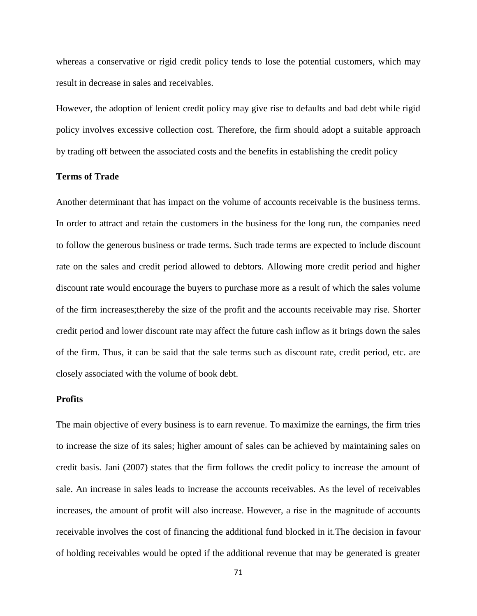whereas a conservative or rigid credit policy tends to lose the potential customers, which may result in decrease in sales and receivables.

However, the adoption of lenient credit policy may give rise to defaults and bad debt while rigid policy involves excessive collection cost. Therefore, the firm should adopt a suitable approach by trading off between the associated costs and the benefits in establishing the credit policy

# **Terms of Trade**

Another determinant that has impact on the volume of accounts receivable is the business terms. In order to attract and retain the customers in the business for the long run, the companies need to follow the generous business or trade terms. Such trade terms are expected to include discount rate on the sales and credit period allowed to debtors. Allowing more credit period and higher discount rate would encourage the buyers to purchase more as a result of which the sales volume of the firm increases;thereby the size of the profit and the accounts receivable may rise. Shorter credit period and lower discount rate may affect the future cash inflow as it brings down the sales of the firm. Thus, it can be said that the sale terms such as discount rate, credit period, etc. are closely associated with the volume of book debt.

# **Profits**

The main objective of every business is to earn revenue. To maximize the earnings, the firm tries to increase the size of its sales; higher amount of sales can be achieved by maintaining sales on credit basis. Jani (2007) states that the firm follows the credit policy to increase the amount of sale. An increase in sales leads to increase the accounts receivables. As the level of receivables increases, the amount of profit will also increase. However, a rise in the magnitude of accounts receivable involves the cost of financing the additional fund blocked in it.The decision in favour of holding receivables would be opted if the additional revenue that may be generated is greater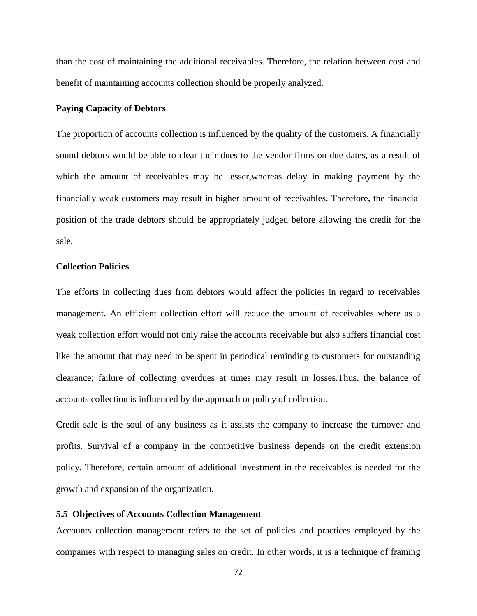than the cost of maintaining the additional receivables. Therefore, the relation between cost and benefit of maintaining accounts collection should be properly analyzed.

#### **Paying Capacity of Debtors**

The proportion of accounts collection is influenced by the quality of the customers. A financially sound debtors would be able to clear their dues to the vendor firms on due dates, as a result of which the amount of receivables may be lesser,whereas delay in making payment by the financially weak customers may result in higher amount of receivables. Therefore, the financial position of the trade debtors should be appropriately judged before allowing the credit for the sale.

## **Collection Policies**

The efforts in collecting dues from debtors would affect the policies in regard to receivables management. An efficient collection effort will reduce the amount of receivables where as a weak collection effort would not only raise the accounts receivable but also suffers financial cost like the amount that may need to be spent in periodical reminding to customers for outstanding clearance; failure of collecting overdues at times may result in losses.Thus, the balance of accounts collection is influenced by the approach or policy of collection.

Credit sale is the soul of any business as it assists the company to increase the turnover and profits. Survival of a company in the competitive business depends on the credit extension policy. Therefore, certain amount of additional investment in the receivables is needed for the growth and expansion of the organization.

# **5.5 Objectives of Accounts Collection Management**

Accounts collection management refers to the set of policies and practices employed by the companies with respect to managing sales on credit. In other words, it is a technique of framing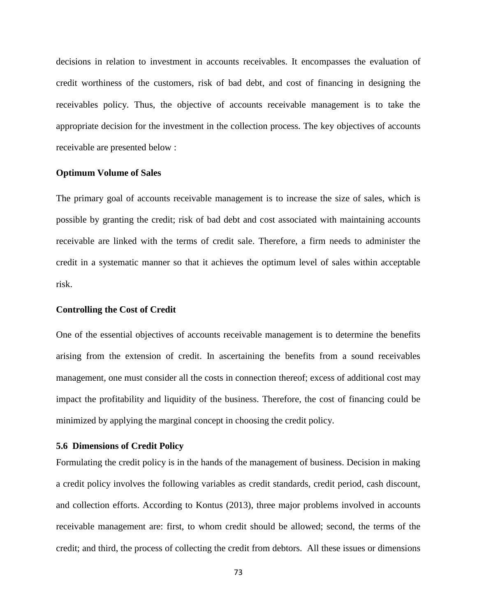decisions in relation to investment in accounts receivables. It encompasses the evaluation of credit worthiness of the customers, risk of bad debt, and cost of financing in designing the receivables policy. Thus, the objective of accounts receivable management is to take the appropriate decision for the investment in the collection process. The key objectives of accounts receivable are presented below :

#### **Optimum Volume of Sales**

The primary goal of accounts receivable management is to increase the size of sales, which is possible by granting the credit; risk of bad debt and cost associated with maintaining accounts receivable are linked with the terms of credit sale. Therefore, a firm needs to administer the credit in a systematic manner so that it achieves the optimum level of sales within acceptable risk.

### **Controlling the Cost of Credit**

One of the essential objectives of accounts receivable management is to determine the benefits arising from the extension of credit. In ascertaining the benefits from a sound receivables management, one must consider all the costs in connection thereof; excess of additional cost may impact the profitability and liquidity of the business. Therefore, the cost of financing could be minimized by applying the marginal concept in choosing the credit policy.

## **5.6 Dimensions of Credit Policy**

Formulating the credit policy is in the hands of the management of business. Decision in making a credit policy involves the following variables as credit standards, credit period, cash discount, and collection efforts. According to Kontus (2013), three major problems involved in accounts receivable management are: first, to whom credit should be allowed; second, the terms of the credit; and third, the process of collecting the credit from debtors. All these issues or dimensions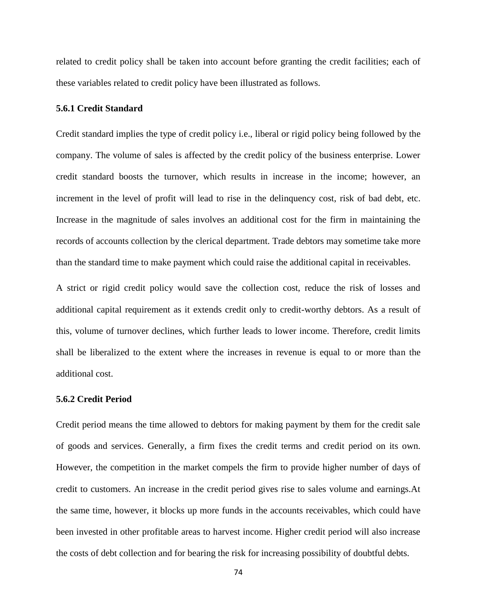related to credit policy shall be taken into account before granting the credit facilities; each of these variables related to credit policy have been illustrated as follows.

## **5.6.1 Credit Standard**

Credit standard implies the type of credit policy i.e., liberal or rigid policy being followed by the company. The volume of sales is affected by the credit policy of the business enterprise. Lower credit standard boosts the turnover, which results in increase in the income; however, an increment in the level of profit will lead to rise in the delinquency cost, risk of bad debt, etc. Increase in the magnitude of sales involves an additional cost for the firm in maintaining the records of accounts collection by the clerical department. Trade debtors may sometime take more than the standard time to make payment which could raise the additional capital in receivables.

A strict or rigid credit policy would save the collection cost, reduce the risk of losses and additional capital requirement as it extends credit only to credit-worthy debtors. As a result of this, volume of turnover declines, which further leads to lower income. Therefore, credit limits shall be liberalized to the extent where the increases in revenue is equal to or more than the additional cost.

# **5.6.2 Credit Period**

Credit period means the time allowed to debtors for making payment by them for the credit sale of goods and services. Generally, a firm fixes the credit terms and credit period on its own. However, the competition in the market compels the firm to provide higher number of days of credit to customers. An increase in the credit period gives rise to sales volume and earnings.At the same time, however, it blocks up more funds in the accounts receivables, which could have been invested in other profitable areas to harvest income. Higher credit period will also increase the costs of debt collection and for bearing the risk for increasing possibility of doubtful debts.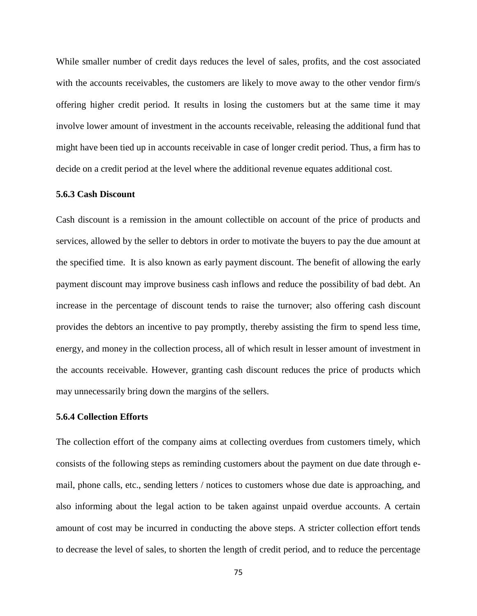While smaller number of credit days reduces the level of sales, profits, and the cost associated with the accounts receivables, the customers are likely to move away to the other vendor firm/s offering higher credit period. It results in losing the customers but at the same time it may involve lower amount of investment in the accounts receivable, releasing the additional fund that might have been tied up in accounts receivable in case of longer credit period. Thus, a firm has to decide on a credit period at the level where the additional revenue equates additional cost.

# **5.6.3 Cash Discount**

Cash discount is a remission in the amount collectible on account of the price of products and services, allowed by the seller to debtors in order to motivate the buyers to pay the due amount at the specified time. It is also known as early payment discount. The benefit of allowing the early payment discount may improve business cash inflows and reduce the possibility of bad debt. An increase in the percentage of discount tends to raise the turnover; also offering cash discount provides the debtors an incentive to pay promptly, thereby assisting the firm to spend less time, energy, and money in the collection process, all of which result in lesser amount of investment in the accounts receivable. However, granting cash discount reduces the price of products which may unnecessarily bring down the margins of the sellers.

#### **5.6.4 Collection Efforts**

The collection effort of the company aims at collecting overdues from customers timely, which consists of the following steps as reminding customers about the payment on due date through email, phone calls, etc., sending letters / notices to customers whose due date is approaching, and also informing about the legal action to be taken against unpaid overdue accounts. A certain amount of cost may be incurred in conducting the above steps. A stricter collection effort tends to decrease the level of sales, to shorten the length of credit period, and to reduce the percentage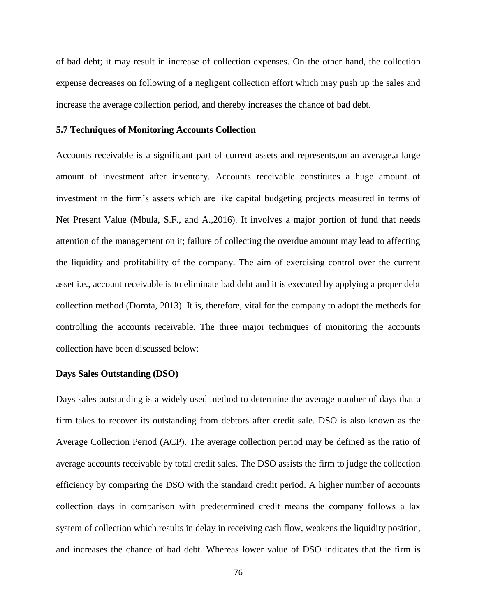of bad debt; it may result in increase of collection expenses. On the other hand, the collection expense decreases on following of a negligent collection effort which may push up the sales and increase the average collection period, and thereby increases the chance of bad debt.

#### **5.7 Techniques of Monitoring Accounts Collection**

Accounts receivable is a significant part of current assets and represents,on an average,a large amount of investment after inventory. Accounts receivable constitutes a huge amount of investment in the firm's assets which are like capital budgeting projects measured in terms of Net Present Value (Mbula, S.F., and A.,2016). It involves a major portion of fund that needs attention of the management on it; failure of collecting the overdue amount may lead to affecting the liquidity and profitability of the company. The aim of exercising control over the current asset i.e., account receivable is to eliminate bad debt and it is executed by applying a proper debt collection method (Dorota, 2013). It is, therefore, vital for the company to adopt the methods for controlling the accounts receivable. The three major techniques of monitoring the accounts collection have been discussed below:

#### **Days Sales Outstanding (DSO)**

Days sales outstanding is a widely used method to determine the average number of days that a firm takes to recover its outstanding from debtors after credit sale. DSO is also known as the Average Collection Period (ACP). The average collection period may be defined as the ratio of average accounts receivable by total credit sales. The DSO assists the firm to judge the collection efficiency by comparing the DSO with the standard credit period. A higher number of accounts collection days in comparison with predetermined credit means the company follows a lax system of collection which results in delay in receiving cash flow, weakens the liquidity position, and increases the chance of bad debt. Whereas lower value of DSO indicates that the firm is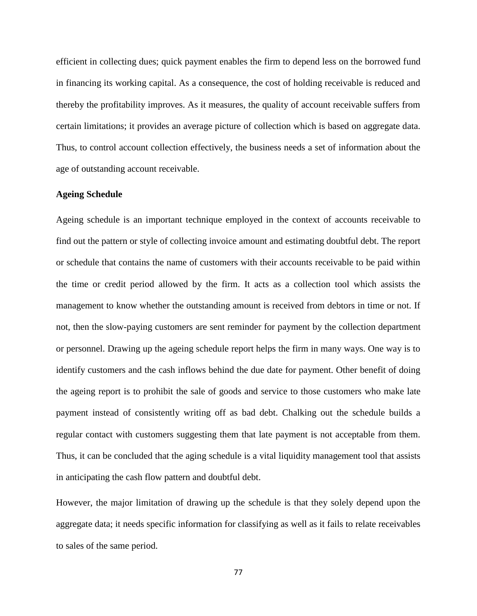efficient in collecting dues; quick payment enables the firm to depend less on the borrowed fund in financing its working capital. As a consequence, the cost of holding receivable is reduced and thereby the profitability improves. As it measures, the quality of account receivable suffers from certain limitations; it provides an average picture of collection which is based on aggregate data. Thus, to control account collection effectively, the business needs a set of information about the age of outstanding account receivable.

## **Ageing Schedule**

Ageing schedule is an important technique employed in the context of accounts receivable to find out the pattern or style of collecting invoice amount and estimating doubtful debt. The report or schedule that contains the name of customers with their accounts receivable to be paid within the time or credit period allowed by the firm. It acts as a collection tool which assists the management to know whether the outstanding amount is received from debtors in time or not. If not, then the slow-paying customers are sent reminder for payment by the collection department or personnel. Drawing up the ageing schedule report helps the firm in many ways. One way is to identify customers and the cash inflows behind the due date for payment. Other benefit of doing the ageing report is to prohibit the sale of goods and service to those customers who make late payment instead of consistently writing off as bad debt. Chalking out the schedule builds a regular contact with customers suggesting them that late payment is not acceptable from them. Thus, it can be concluded that the aging schedule is a vital liquidity management tool that assists in anticipating the cash flow pattern and doubtful debt.

However, the major limitation of drawing up the schedule is that they solely depend upon the aggregate data; it needs specific information for classifying as well as it fails to relate receivables to sales of the same period.

77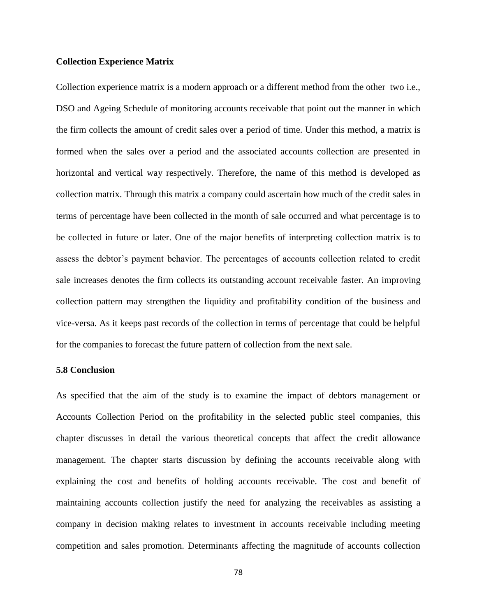#### **Collection Experience Matrix**

Collection experience matrix is a modern approach or a different method from the other two i.e., DSO and Ageing Schedule of monitoring accounts receivable that point out the manner in which the firm collects the amount of credit sales over a period of time. Under this method, a matrix is formed when the sales over a period and the associated accounts collection are presented in horizontal and vertical way respectively. Therefore, the name of this method is developed as collection matrix. Through this matrix a company could ascertain how much of the credit sales in terms of percentage have been collected in the month of sale occurred and what percentage is to be collected in future or later. One of the major benefits of interpreting collection matrix is to assess the debtor's payment behavior. The percentages of accounts collection related to credit sale increases denotes the firm collects its outstanding account receivable faster. An improving collection pattern may strengthen the liquidity and profitability condition of the business and vice-versa. As it keeps past records of the collection in terms of percentage that could be helpful for the companies to forecast the future pattern of collection from the next sale.

#### **5.8 Conclusion**

As specified that the aim of the study is to examine the impact of debtors management or Accounts Collection Period on the profitability in the selected public steel companies, this chapter discusses in detail the various theoretical concepts that affect the credit allowance management. The chapter starts discussion by defining the accounts receivable along with explaining the cost and benefits of holding accounts receivable. The cost and benefit of maintaining accounts collection justify the need for analyzing the receivables as assisting a company in decision making relates to investment in accounts receivable including meeting competition and sales promotion. Determinants affecting the magnitude of accounts collection